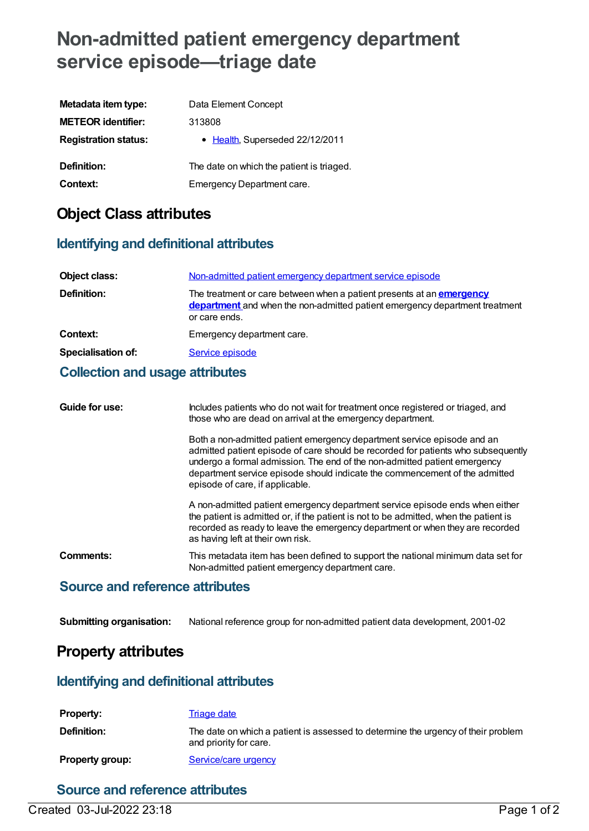# **Non-admitted patient emergency department service episode—triage date**

| Metadata item type:         | Data Element Concept                      |
|-----------------------------|-------------------------------------------|
| <b>METEOR identifier:</b>   | 313808                                    |
| <b>Registration status:</b> | • Health, Superseded 22/12/2011           |
| Definition:                 | The date on which the patient is triaged. |
| Context:                    | Emergency Department care.                |

### **Object Class attributes**

### **Identifying and definitional attributes**

| Object class:             | Non-admitted patient emergency department service episode                                                                                                                           |
|---------------------------|-------------------------------------------------------------------------------------------------------------------------------------------------------------------------------------|
| <b>Definition:</b>        | The treatment or care between when a patient presents at an <b>emergency</b><br><b>department</b> and when the non-admitted patient emergency department treatment<br>or care ends. |
| Context:                  | Emergency department care.                                                                                                                                                          |
| <b>Specialisation of:</b> | Service episode                                                                                                                                                                     |
|                           |                                                                                                                                                                                     |

#### **Collection and usage attributes**

| Guide for use: | Includes patients who do not wait for treatment once registered or triaged, and<br>those who are dead on arrival at the emergency department.                                                                                                                                                                                                               |
|----------------|-------------------------------------------------------------------------------------------------------------------------------------------------------------------------------------------------------------------------------------------------------------------------------------------------------------------------------------------------------------|
|                | Both a non-admitted patient emergency department service episode and an<br>admitted patient episode of care should be recorded for patients who subsequently<br>undergo a formal admission. The end of the non-admitted patient emergency<br>department service episode should indicate the commencement of the admitted<br>episode of care, if applicable. |
|                | A non-admitted patient emergency department service episode ends when either<br>the patient is admitted or, if the patient is not to be admitted, when the patient is<br>recorded as ready to leave the emergency department or when they are recorded<br>as having left at their own risk.                                                                 |
| Comments:      | This metadata item has been defined to support the national minimum data set for<br>Non-admitted patient emergency department care.                                                                                                                                                                                                                         |
|                |                                                                                                                                                                                                                                                                                                                                                             |

#### **Source and reference attributes**

**Submitting organisation:** National reference group for non-admitted patient data development, 2001-02

### **Property attributes**

### **Identifying and definitional attributes**

| <b>Property:</b>       | Triage date                                                                                                 |
|------------------------|-------------------------------------------------------------------------------------------------------------|
| Definition:            | The date on which a patient is assessed to determine the urgency of their problem<br>and priority for care. |
| <b>Property group:</b> | Service/care urgency                                                                                        |

### **Source and reference attributes**